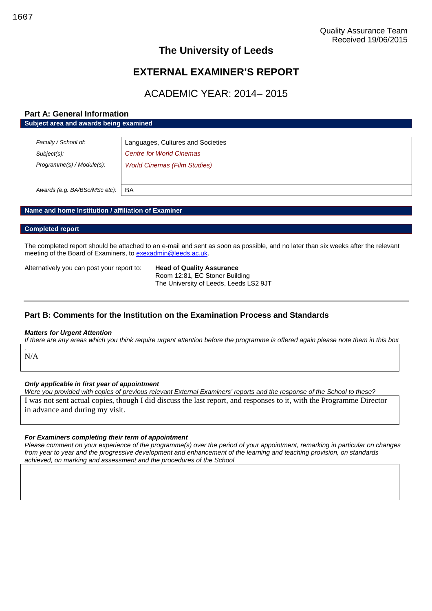# **The University of Leeds**

# **EXTERNAL EXAMINER'S REPORT**

# ACADEMIC YEAR: 2014– 2015

### **Part A: General Information Subject area and awards being examined**

| Faculty / School of:          | Languages, Cultures and Societies   |
|-------------------------------|-------------------------------------|
| Subject(s):                   | <b>Centre for World Cinemas</b>     |
| Programme(s) / Module(s):     | <b>World Cinemas (Film Studies)</b> |
|                               |                                     |
| Awards (e.g. BA/BSc/MSc etc): | BA                                  |

#### **Name and home Institution / affiliation of Examiner**

#### **Completed report**

The completed report should be attached to an e-mail and sent as soon as possible, and no later than six weeks after the relevant meeting of the Board of Examiners, to [exexadmin@leeds.ac.uk.](mailto:exexadmin@leeds.ac.uk)

Alternatively you can post your report to: **Head of Quality Assurance**

Room 12:81, EC Stoner Building The University of Leeds, Leeds LS2 9JT

## **Part B: Comments for the Institution on the Examination Process and Standards**

#### *Matters for Urgent Attention*

*If there are any areas which you think require urgent attention before the programme is offered again please note them in this box*

N/A

*.*

#### *Only applicable in first year of appointment*

*Were you provided with copies of previous relevant External Examiners' reports and the response of the School to these?* I was not sent actual copies, though I did discuss the last report, and responses to it, with the Programme Director in advance and during my visit.

#### *For Examiners completing their term of appointment*

*Please comment on your experience of the programme(s) over the period of your appointment, remarking in particular on changes from year to year and the progressive development and enhancement of the learning and teaching provision, on standards achieved, on marking and assessment and the procedures of the School*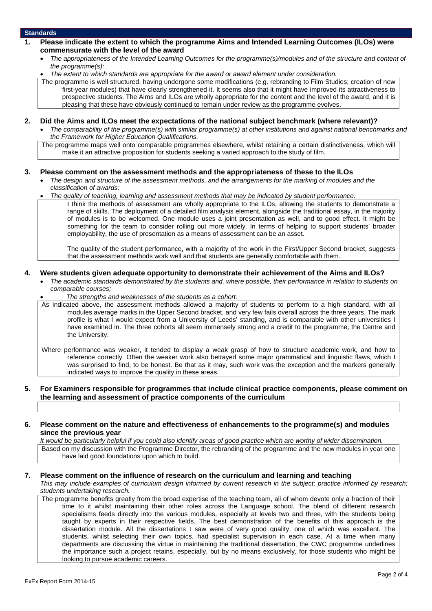#### **Standards**

- **1. Please indicate the extent to which the programme Aims and Intended Learning Outcomes (ILOs) were commensurate with the level of the award**
	- *The appropriateness of the Intended Learning Outcomes for the programme(s)/modules and of the structure and content of the programme(s);*
	- *The extent to which standards are appropriate for the award or award element under consideration.*

The programme is well structured, having undergone some modifications (e.g. rebranding to Film Studies; creation of new first-year modules) that have clearly strengthened it. It seems also that it might have improved its attractiveness to prospective students. The Aims and ILOs are wholly appropriate for the content and the level of the award, and it is pleasing that these have obviously continued to remain under review as the programme evolves.

- **2. Did the Aims and ILOs meet the expectations of the national subject benchmark (where relevant)?**
	- *The comparability of the programme(s) with similar programme(s) at other institutions and against national benchmarks and the Framework for Higher Education Qualifications.*

The programme maps well onto comparable programmes elsewhere, whilst retaining a certain distinctiveness, which will make it an attractive proposition for students seeking a varied approach to the study of film.

#### **3. Please comment on the assessment methods and the appropriateness of these to the ILOs**

- *The design and structure of the assessment methods, and the arrangements for the marking of modules and the classification of awards;*
- *The quality of teaching, learning and assessment methods that may be indicated by student performance.*
	- I think the methods of assessment are wholly appropriate to the ILOs, allowing the students to demonstrate a range of skills. The deployment of a detailed film analysis element, alongside the traditional essay, in the majority of modules is to be welcomed. One module uses a joint presentation as well, and to good effect. It might be something for the team to consider rolling out more widely. In terms of helping to support students' broader employability, the use of presentation as a means of assessment can be an asset.

The quality of the student performance, with a majority of the work in the First/Upper Second bracket, suggests that the assessment methods work well and that students are generally comfortable with them.

#### **4. Were students given adequate opportunity to demonstrate their achievement of the Aims and ILOs?**

- *The academic standards demonstrated by the students and, where possible, their performance in relation to students on comparable courses;*
	- *The strengths and weaknesses of the students as a cohort.*

As indicated above, the assessment methods allowed a majority of students to perform to a high standard, with all modules average marks in the Upper Second bracket, and very few fails overall across the three years. The mark profile is what I would expect from a University of Leeds' standing, and is comparable with other universities I have examined in. The three cohorts all seem immensely strong and a credit to the programme, the Centre and the University.

Where performance was weaker, it tended to display a weak grasp of how to structure academic work, and how to reference correctly. Often the weaker work also betrayed some major grammatical and linguistic flaws, which I was surprised to find, to be honest. Be that as it may, such work was the exception and the markers generally indicated ways to improve the quality in these areas.

#### **5. For Examiners responsible for programmes that include clinical practice components, please comment on the learning and assessment of practice components of the curriculum**

#### **6. Please comment on the nature and effectiveness of enhancements to the programme(s) and modules since the previous year**

*It would be particularly helpful if you could also identify areas of good practice which are worthy of wider dissemination.* Based on my discussion with the Programme Director, the rebranding of the programme and the new modules in year one have laid good foundations upon which to build.

#### **7. Please comment on the influence of research on the curriculum and learning and teaching**

*This may include examples of curriculum design informed by current research in the subject; practice informed by research; students undertaking research.*

The programme benefits greatly from the broad expertise of the teaching team, all of whom devote only a fraction of their time to it whilst maintaining their other roles across the Language school. The blend of different research specialisms feeds directly into the various modules, especially at levels two and three, with the students being taught by experts in their respective fields. The best demonstration of the benefits of this approach is the dissertation module. All the dissertations I saw were of very good quality, one of which was excellent. The students, whilst selecting their own topics, had specialist supervision in each case. At a time when many departments are discussing the virtue in maintaining the traditional dissertation, the CWC programme underlines the importance such a project retains, especially, but by no means exclusively, for those students who might be looking to pursue academic careers.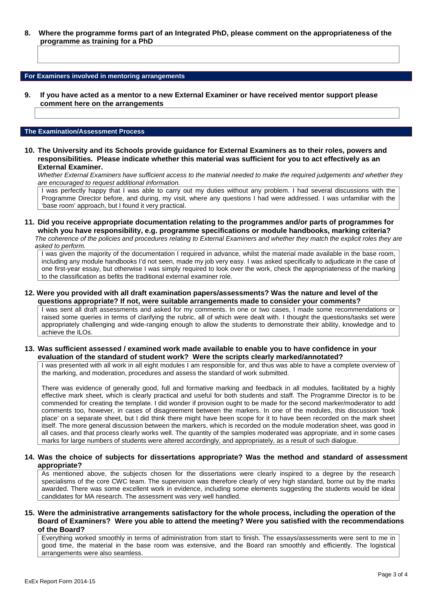**8. Where the programme forms part of an Integrated PhD, please comment on the appropriateness of the programme as training for a PhD**

#### **For Examiners involved in mentoring arrangements**

**9. If you have acted as a mentor to a new External Examiner or have received mentor support please comment here on the arrangements**

#### **The Examination/Assessment Process**

**10. The University and its Schools provide guidance for External Examiners as to their roles, powers and responsibilities. Please indicate whether this material was sufficient for you to act effectively as an External Examiner.**

*Whether External Examiners have sufficient access to the material needed to make the required judgements and whether they are encouraged to request additional information.*

I was perfectly happy that I was able to carry out my duties without any problem. I had several discussions with the Programme Director before, and during, my visit, where any questions I had were addressed. I was unfamiliar with the 'base room' approach, but I found it very practical.

# **11. Did you receive appropriate documentation relating to the programmes and/or parts of programmes for which you have responsibility, e.g. programme specifications or module handbooks, marking criteria?**

*The coherence of the policies and procedures relating to External Examiners and whether they match the explicit roles they are asked to perform.*

I was given the majority of the documentation I required in advance, whilst the material made available in the base room, including any module handbooks I'd not seen, made my job very easy. I was asked specifically to adjudicate in the case of one first-year essay, but otherwise I was simply required to look over the work, check the appropriateness of the marking to the classification as befits the traditional external examiner role.

#### **12. Were you provided with all draft examination papers/assessments? Was the nature and level of the questions appropriate? If not, were suitable arrangements made to consider your comments?**

I was sent all draft assessments and asked for my comments. In one or two cases, I made some recommendations or raised some queries in terms of clarifying the rubric, all of which were dealt with. I thought the questions/tasks set were appropriately challenging and wide-ranging enough to allow the students to demonstrate their ability, knowledge and to achieve the ILOs.

#### **13. Was sufficient assessed / examined work made available to enable you to have confidence in your evaluation of the standard of student work? Were the scripts clearly marked/annotated?**

I was presented with all work in all eight modules I am responsible for, and thus was able to have a complete overview of the marking, and moderation, procedures and assess the standard of work submitted.

There was evidence of generally good, full and formative marking and feedback in all modules, facilitated by a highly effective mark sheet, which is clearly practical and useful for both students and staff. The Programme Director is to be commended for creating the template. I did wonder if provision ought to be made for the second marker/moderator to add comments too, however, in cases of disagreement between the markers. In one of the modules, this discussion 'took place' on a separate sheet, but I did think there might have been scope for it to have been recorded on the mark sheet itself. The more general discussion between the markers, which is recorded on the module moderation sheet, was good in all cases, and that process clearly works well. The quantity of the samples moderated was appropriate, and in some cases marks for large numbers of students were altered accordingly, and appropriately, as a result of such dialogue.

#### **14. Was the choice of subjects for dissertations appropriate? Was the method and standard of assessment appropriate?**

As mentioned above, the subjects chosen for the dissertations were clearly inspired to a degree by the research specialisms of the core CWC team. The supervision was therefore clearly of very high standard, borne out by the marks awarded. There was some excellent work in evidence, including some elements suggesting the students would be ideal candidates for MA research. The assessment was very well handled.

#### **15. Were the administrative arrangements satisfactory for the whole process, including the operation of the Board of Examiners? Were you able to attend the meeting? Were you satisfied with the recommendations of the Board?**

Everything worked smoothly in terms of administration from start to finish. The essays/assessments were sent to me in good time, the material in the base room was extensive, and the Board ran smoothly and efficiently. The logistical arrangements were also seamless.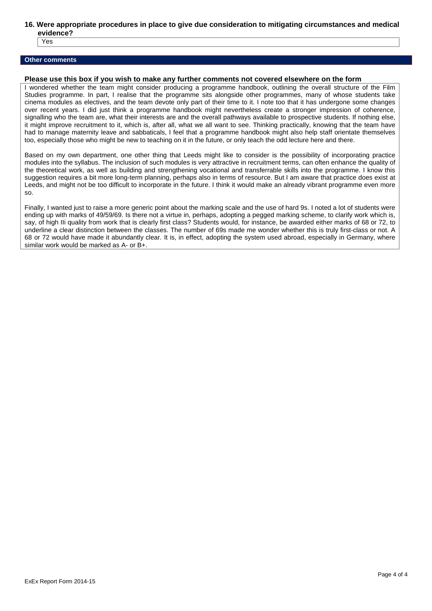#### **16. Were appropriate procedures in place to give due consideration to mitigating circumstances and medical evidence?**

Yes

#### **Other comments**

#### **Please use this box if you wish to make any further comments not covered elsewhere on the form**

I wondered whether the team might consider producing a programme handbook, outlining the overall structure of the Film Studies programme. In part, I realise that the programme sits alongside other programmes, many of whose students take cinema modules as electives, and the team devote only part of their time to it. I note too that it has undergone some changes over recent years. I did just think a programme handbook might nevertheless create a stronger impression of coherence, signalling who the team are, what their interests are and the overall pathways available to prospective students. If nothing else, it might improve recruitment to it, which is, after all, what we all want to see. Thinking practically, knowing that the team have had to manage maternity leave and sabbaticals, I feel that a programme handbook might also help staff orientate themselves too, especially those who might be new to teaching on it in the future, or only teach the odd lecture here and there.

Based on my own department, one other thing that Leeds might like to consider is the possibility of incorporating practice modules into the syllabus. The inclusion of such modules is very attractive in recruitment terms, can often enhance the quality of the theoretical work, as well as building and strengthening vocational and transferrable skills into the programme. I know this suggestion requires a bit more long-term planning, perhaps also in terms of resource. But I am aware that practice does exist at Leeds, and might not be too difficult to incorporate in the future. I think it would make an already vibrant programme even more so.

Finally, I wanted just to raise a more generic point about the marking scale and the use of hard 9s. I noted a lot of students were ending up with marks of 49/59/69. Is there not a virtue in, perhaps, adopting a pegged marking scheme, to clarify work which is, say, of high IIi quality from work that is clearly first class? Students would, for instance, be awarded either marks of 68 or 72, to underline a clear distinction between the classes. The number of 69s made me wonder whether this is truly first-class or not. A 68 or 72 would have made it abundantly clear. It is, in effect, adopting the system used abroad, especially in Germany, where similar work would be marked as A- or B+.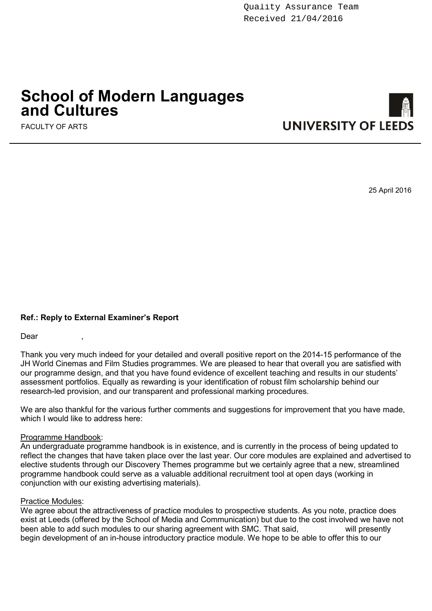# **School of Modern Languages and Cultures**

FACULTY OF ARTS



25 April 2016

# **Ref.: Reply to External Examiner's Report**

Dear ,

Thank you very much indeed for your detailed and overall positive report on the 2014-15 performance of the JH World Cinemas and Film Studies programmes. We are pleased to hear that overall you are satisfied with our programme design, and that you have found evidence of excellent teaching and results in our students' assessment portfolios. Equally as rewarding is your identification of robust film scholarship behind our research-led provision, and our transparent and professional marking procedures.

We are also thankful for the various further comments and suggestions for improvement that you have made, which I would like to address here:

## Programme Handbook:

An undergraduate programme handbook is in existence, and is currently in the process of being updated to reflect the changes that have taken place over the last year. Our core modules are explained and advertised to elective students through our Discovery Themes programme but we certainly agree that a new, streamlined programme handbook could serve as a valuable additional recruitment tool at open days (working in conjunction with our existing advertising materials).

## Practice Modules:

We agree about the attractiveness of practice modules to prospective students. As you note, practice does exist at Leeds (offered by the School of Media and Communication) but due to the cost involved we have not been able to add such modules to our sharing agreement with SMC. That said been able to add such modules to our sharing agreement with SMC. That said, begin development of an in-house introductory practice module. We hope to be able to offer this to our